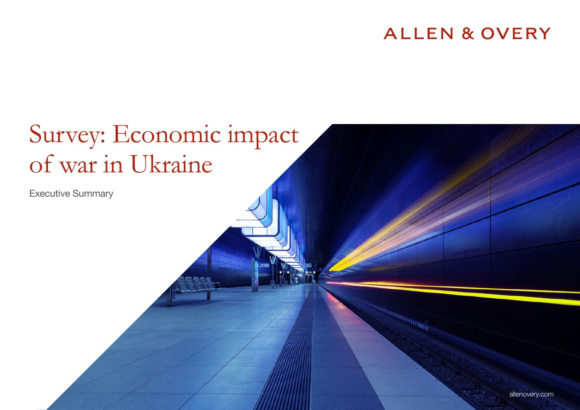# **ALLEN & OVERY**

# Survey: Economic impact of war in Ukraine

Executive Summary

allenovery.com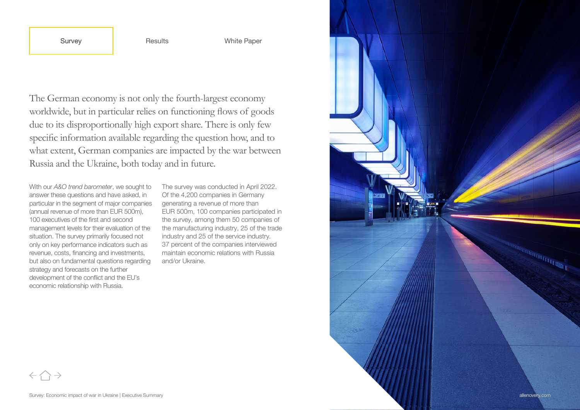The German economy is not only the fourth-largest economy worldwide, but in particular relies on functioning flows of goods due to its disproportionally high export share. There is only few specific information available regarding the question how, and to what extent, German companies are impacted by the war between Russia and the Ukraine, both today and in future.

With our *A&O trend barometer*, we sought to answer these questions and have asked, in particular in the segment of major companies (annual revenue of more than EUR 500m), 100 executives of the first and second management levels for their evaluation of the situation. The survey primarily focused not only on key performance indicators such as revenue, costs, financing and investments, but also on fundamental questions regarding strategy and forecasts on the further development of the conflict and the EU's economic relationship with Russia.

The survey was conducted in April 2022. Of the 4,200 companies in Germany generating a revenue of more than EUR 500m, 100 companies participated in the survey, among them 50 companies of the manufacturing industry, 25 of the trade industry and 25 of the service industry. 37 percent of the companies interviewed maintain economic relations with Russia and/or Ukraine.



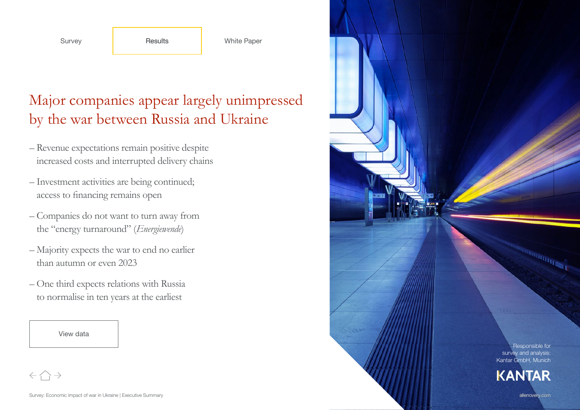# Major companies appear largely unimpressed by the war between Russia and Ukraine

- Revenue expectations remain positive despite increased costs and interrupted delivery chains
- Investment activities are being continued; access to financing remains open
- Companies do not want to turn away from the "energy turnaround" (*Energiewende*)
- Majority expects the war to end no earlier than autumn or even 2023
- One third expects relations with Russia to normalise in ten years at the earliest



Responsible for survey and analysis Kantar GmbH, Munich Survey: Economic impact of war in Ukraine Howard China and Ukraine Howard Executive Survey Results and Ukraine Howard China and Ukraine presents when the china allenovery.com Survey Results Ukraine points Comparis White D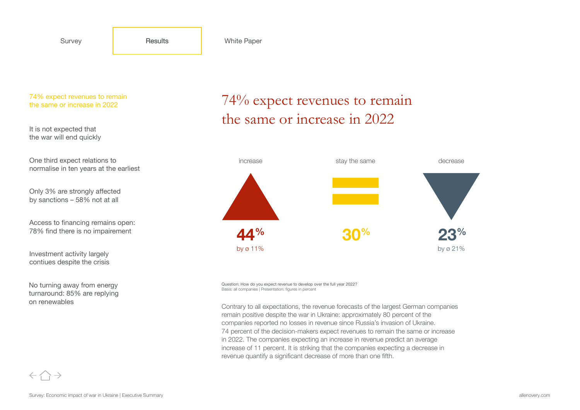It is not expected that the war will end quickly

One third expect relations to normalise in ten years at the earliest

Only 3% are strongly affected by sanctions – 58% not at all

Access to financing remains open: 78% find there is no impairement

Investment activity largely contiues despite the crisis

No turning away from energy turnaround: 85% are replying on renewables

### 74% expect revenues to remain the same or increase in 2022



Question: How do you expect revenue to develop over the full year 2022? Basis: all companies | Presentation: figures in percent

Contrary to all expectations, the revenue forecasts of the largest German companies remain positive despite the war in Ukraine: approximately 80 percent of the companies reported no losses in revenue since Russia's invasion of Ukraine. 74 percent of the decision-makers expect revenues to remain the same or increase in 2022. The companies expecting an increase in revenue predict an average increase of 11 percent. It is striking that the companies expecting a decrease in revenue quantify a significant decrease of more than one fifth.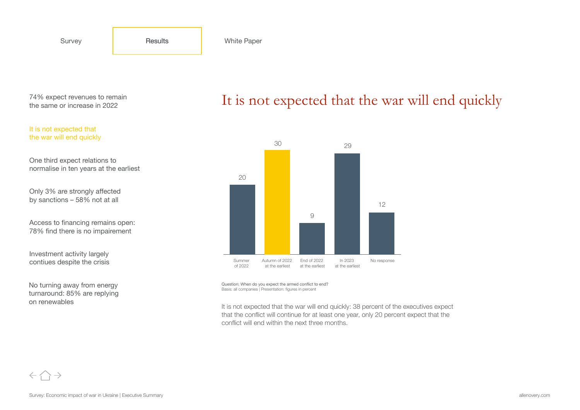#### It is not expected that the war will end quickly

One third expect relations to normalise in ten years at the earliest

Only 3% are strongly affected by sanctions – 58% not at all

Access to financing remains open: 78% find there is no impairement

Investment activity largely contiues despite the crisis

No turning away from energy turnaround: 85% are replying on renewables

## It is not expected that the war will end quickly



Question: When do you expect the armed conflict to end? Basis: all companies | Presentation: figures in percent

It is not expected that the war will end quickly: 38 percent of the executives expect that the conflict will continue for at least one year, only 20 percent expect that the conflict will end within the next three months.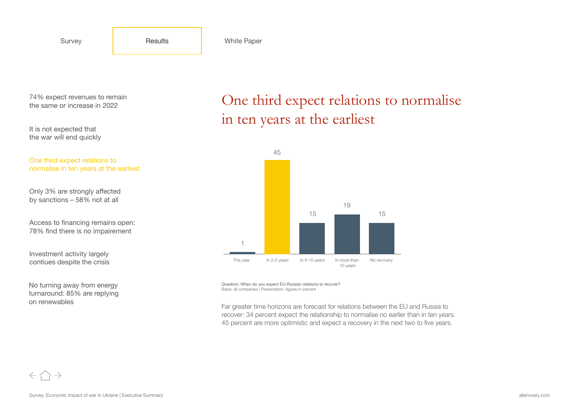It is not expected that the war will end quickly

One third expect relations to normalise in ten years at the earliest

Only 3% are strongly affected by sanctions – 58% not at all

Access to financing remains open: 78% find there is no impairement

Investment activity largely contiues despite the crisis

No turning away from energy turnaround: 85% are replying on renewables

One third expect relations to normalise in ten years at the earliest



Question: When do you expect EU-Russian relations to recover? Basis: all companies | Presentation: figures in percent

Far greater time horizons are forecast for relations between the EU and Russia to recover: 34 percent expect the relationship to normalise no earlier than in ten years. 45 percent are more optimistic and expect a recovery in the next two to five years.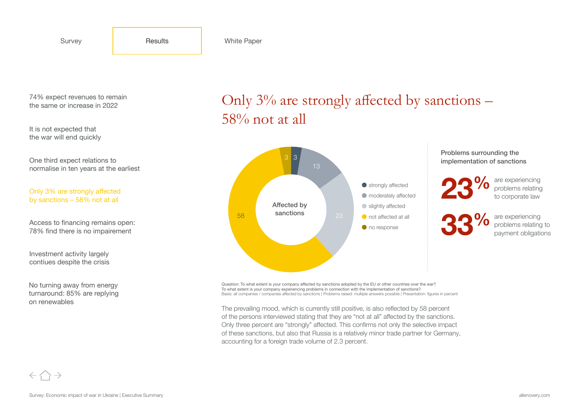It is not expected that the war will end quickly

One third expect relations to normalise in ten years at the earliest

Only 3% are strongly affected by sanctions – 58% not at all

Access to financing remains open: 78% find there is no impairement

Investment activity largely contiues despite the crisis

No turning away from energy turnaround: 85% are replying on renewables

## Only  $3\%$  are strongly affected by sanctions – 58% not at all



Problems surrounding the implementation of sanctions

are experiencing problems relating to corporate law 23%

are experiencing problems relating to payment obligations 33%

Question: To what extent is your company affected by sanctions adopted by the EU or other countries over the war? To what extent is your company experiencing problems in connection with the implementation of sanctions? Basis: all companies / companies affected by sanctions | Problems raised: multiple answers possible | Presentation: figures in percent

The prevailing mood, which is currently still positive, is also reflected by 58 percent of the persons interviewed stating that they are "not at all" affected by the sanctions. Only three percent are "strongly" affected. This confirms not only the selective impact of these sanctions, but also that Russia is a relatively minor trade partner for Germany, accounting for a foreign trade volume of 2.3 percent.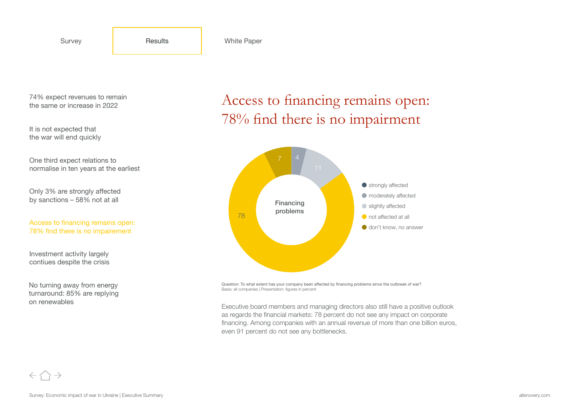It is not expected that the war will end quickly

One third expect relations to normalise in ten years at the earliest

Only 3% are strongly affected by sanctions – 58% not at all

Access to financing remains open: 78% find there is no impairement

Investment activity largely contiues despite the crisis

No turning away from energy turnaround: 85% are replying on renewables

Access to financing remains open: 78% find there is no impairment



Question: To what extent has your company been affected by financing problems since the outbreak of war? Basis: all companies | Presentation: figures in percent

Executive board members and managing directors also still have a positive outlook as regards the financial markets: 78 percent do not see any impact on corporate financing. Among companies with an annual revenue of more than one billion euros, even 91 percent do not see any bottlenecks.

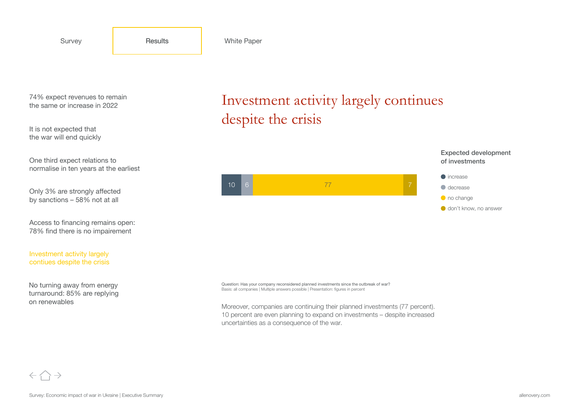It is not expected that the war will end quickly

One third expect relations to normalise in ten years at the earliest

Only 3% are strongly affected by sanctions – 58% not at all

Access to financing remains open: 78% find there is no impairement

Investment activity largely contiues despite the crisis

No turning away from energy turnaround: 85% are replying on renewables

Investment activity largely continues despite the crisis



Question: Has your company reconsidered planned investments since the outbreak of war? Basis: all companies | Multiple answers possible | Presentation: figures in percent

Moreover, companies are continuing their planned investments (77 percent). 10 percent are even planning to expand on investments – despite increased uncertainties as a consequence of the war.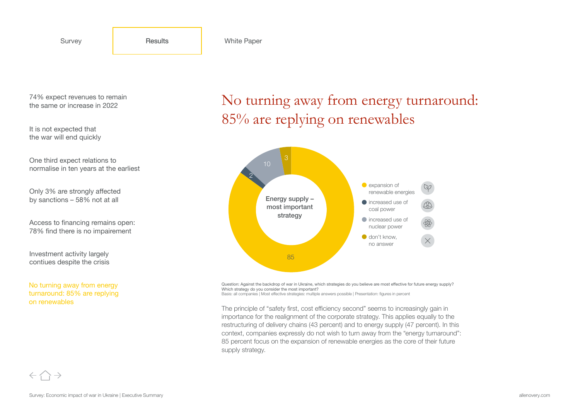It is not expected that the war will end quickly

One third expect relations to normalise in ten years at the earliest

Only 3% are strongly affected by sanctions – 58% not at all

Access to financing remains open: 78% find there is no impairement

Investment activity largely contiues despite the crisis

No turning away from energy turnaround: 85% are replying on renewables

No turning away from energy turnaround: 85% are replying on renewables



Question: Against the backdrop of war in Ukraine, which strategies do you believe are most effective for future energy supply? Which strategy do you consider the most important? Basis: all companies | Most effective strategies: multiple answers possible | Presentation: figures in percent

The principle of "safety first, cost efficiency second" seems to increasingly gain in importance for the realignment of the corporate strategy. This applies equally to the restructuring of delivery chains (43 percent) and to energy supply (47 percent). In this context, companies expressly do not wish to turn away from the "energy turnaround": 85 percent focus on the expansion of renewable energies as the core of their future supply strategy.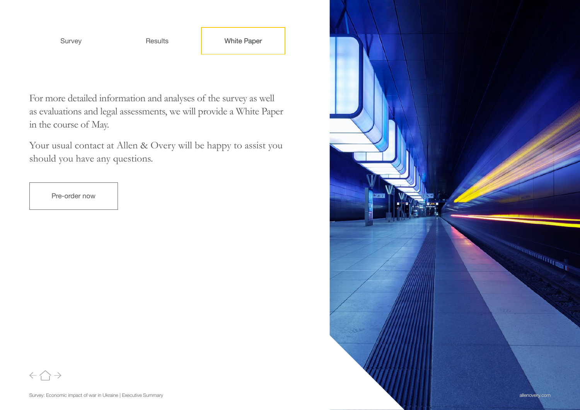For more detailed information and analyses of the survey as well as evaluations and legal assessments, we will provide a White Paper in the course of May.

Your usual contact at Allen & Overy will be happy to assist you should you have any questions.